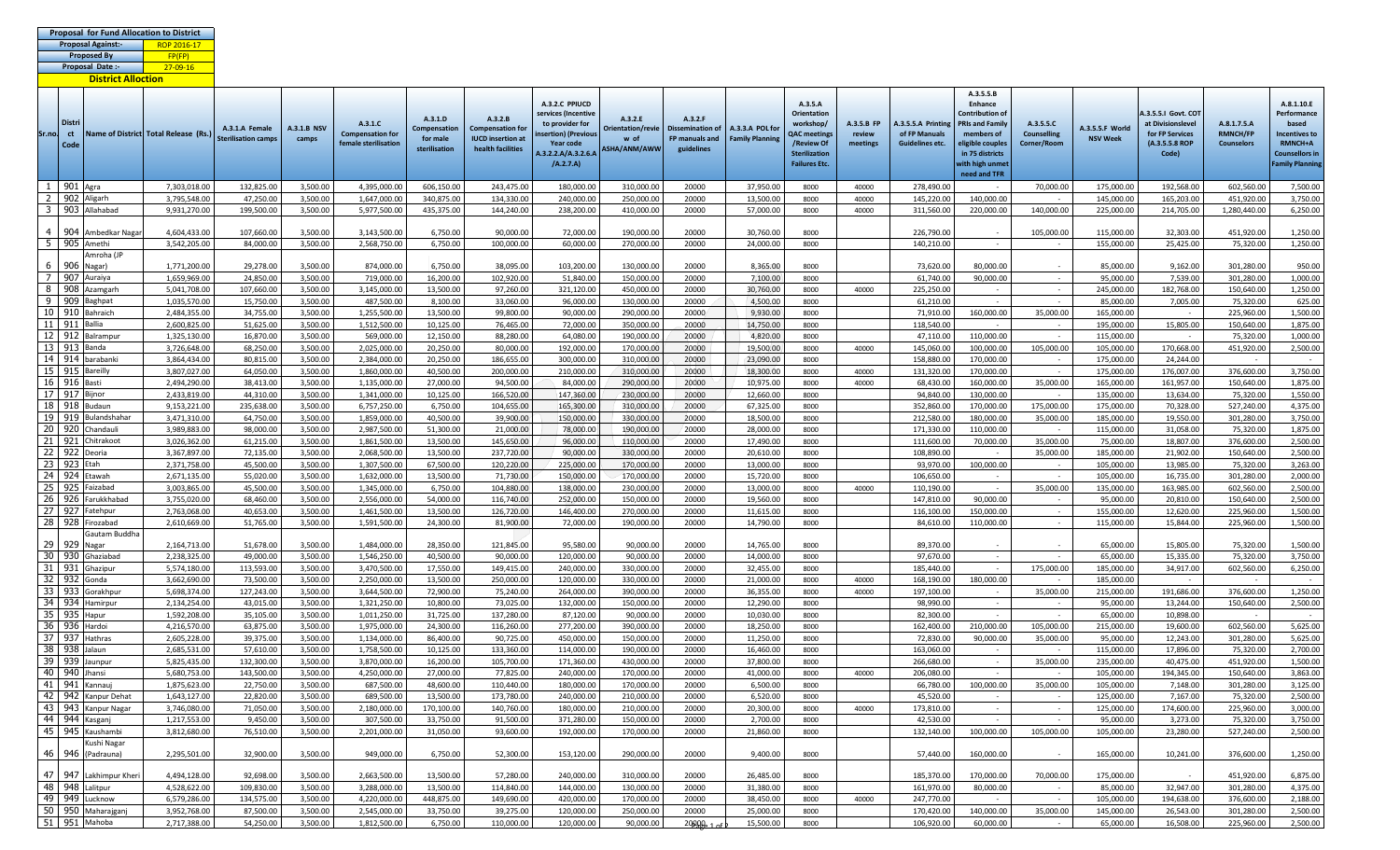| <b>Proposal for Fund Allocation to District</b> |             |  |
|-------------------------------------------------|-------------|--|
| Proposal Against:                               | ROP 2016-17 |  |
| <b>Proposed By</b>                              | FP(FP)      |  |
| Proposal Date:-                                 | 27-09-16    |  |

**District Alloction**

| Sr.no.                | Distri<br>ct      |                                           | Name of District Total Release (Rs.) | A.3.1.A Female             | <b>A.3.1.B NSV</b>   | A.3.1.C<br><b>Compensation for</b> | A.3.1.D<br><b>Compensation</b> | A.3.2.B<br><b>Compensation for</b>            | A.3.2.C PPIUCD<br>services (Incentive<br>to provider for<br>nsertion) (Previou: | A.3.2.E<br>Orientation/revie | A.3.2.F<br><b>Dissemination of</b> | A.3.3.A POL fo         | A.3.5.A<br><b>Orientation</b><br>workshop/<br><b>QAC</b> meetings | A.3.5.B FP<br>review | A.3.5.5.A Printing<br>of FP Manuals | A.3.5.5.B<br>Enhance<br>Contribution of<br><b>RIs and Family</b><br>members of | A.3.5.5.C<br><b>Counselling</b> | A.3.5.5.F World          | A.3.5.5.1 Govt. COT<br>at Divisionslevel<br>for FP Services | A.8.1.7.5.A<br><b>RMNCH/FP</b> | A.8.1.10.E<br>Performance<br>based<br><b>Incentives to</b>       |
|-----------------------|-------------------|-------------------------------------------|--------------------------------------|----------------------------|----------------------|------------------------------------|--------------------------------|-----------------------------------------------|---------------------------------------------------------------------------------|------------------------------|------------------------------------|------------------------|-------------------------------------------------------------------|----------------------|-------------------------------------|--------------------------------------------------------------------------------|---------------------------------|--------------------------|-------------------------------------------------------------|--------------------------------|------------------------------------------------------------------|
|                       | Code              |                                           |                                      | <b>Sterilisation camps</b> |                      | female sterilisation               | for male<br>sterilisation      | <b>IUCD</b> insertion at<br>health facilities | Year code<br>A.3.2.2.A/A.3.2.6.A<br>(A.2.7.A)                                   | w of<br>ASHA/ANM/AWW         | FP manuals and<br>guidelines       | <b>Family Planning</b> | /Review Of<br><b>Sterilization</b><br><b>Failures Etc.</b>        | meetings             | <b>Guidelines etc.</b>              | eligible couples<br>in 75 districts<br>with high unmet<br>need and TFR         | Corner/Room                     | <b>NSV Week</b>          | (A.3.5.5.8 ROP<br>Code)                                     | <b>Counselors</b>              | <b>RMNCH+A</b><br><b>Counsellors in</b><br><b>Family Plannin</b> |
| 1                     | 901 Agra          |                                           | 7,303,018.00                         | 132,825.00                 | 3,500.00             | 4,395,000.00                       | 606,150.00                     | 243,475.00                                    | 180,000.00                                                                      | 310,000.00                   | 20000                              | 37,950.00              | 8000                                                              | 40000                | 278,490.00                          |                                                                                | 70,000.00                       | 175,000.00               | 192,568.00                                                  | 602,560.00                     | 7,500.00                                                         |
| $\overline{2}$        |                   | 902 Aligarh                               | 3,795,548.00                         | 47,250.00                  | 3,500.00             | 1,647,000.00                       | 340,875.00                     | 134,330.00                                    | 240,000.00                                                                      | 250,000.00                   | 20000                              | 13,500.00              | 8000                                                              | 40000                | 145,220.00                          | 140,000.00                                                                     | $\sim$                          | 145,000.00               | 165,203.00                                                  | 451,920.00                     | 3,750.00                                                         |
| $\overline{3}$        |                   | 903 Allahabad                             | 9,931,270.00                         | 199,500.00                 | 3,500.00             | 5,977,500.00                       | 435,375.00                     | 144,240.00                                    | 238,200.00                                                                      | 410,000.00                   | 20000                              | 57,000.00              | 8000                                                              | 40000                | 311,560.00                          | 220,000.00                                                                     | 140,000.00                      | 225,000.00               | 214,705.00                                                  | 1,280,440.00                   | 6,250.00                                                         |
| $\overline{4}$        | 904               | Ambedkar Naga                             | 4,604,433.00                         | 107,660.00                 | 3,500.00             | 3,143,500.00                       | 6,750.00                       | 90,000.00                                     | 72,000.00                                                                       | 190,000.00                   | 20000                              | 30,760.00              | 8000                                                              |                      | 226,790.00                          |                                                                                | 105,000.00                      | 115,000.00               | 32,303.00                                                   | 451,920.00                     | 1,250.00                                                         |
| $\overline{5}$        | 905               | Amethi                                    | 3,542,205.00                         | 84,000.00                  | 3,500.00             | 2,568,750.00                       | 6,750.00                       | 100,000.00                                    | 60,000.00                                                                       | 270,000.00                   | 20000                              | 24,000.00              | 8000                                                              |                      | 140,210.00                          | $\sim$                                                                         | $\sim$                          | 155,000.00               | 25,425.00                                                   | 75,320.00                      | 1,250.00                                                         |
|                       |                   | Amroha (JP                                |                                      |                            |                      |                                    |                                |                                               |                                                                                 |                              |                                    |                        |                                                                   |                      |                                     |                                                                                |                                 |                          |                                                             |                                |                                                                  |
| 6<br>$\overline{7}$   | 906 Nagar)<br>907 | Auraiya                                   | 1,771,200.00<br>1,659,969.00         | 29,278.00<br>24,850.00     | 3,500.00<br>3,500.00 | 874,000.00<br>719,000.00           | 6,750.00<br>16,200.00          | 38,095.00<br>102,920.00                       | 103,200.00<br>51,840.00                                                         | 130,000.00<br>150,000.00     | 20000<br>20000                     | 8,365.00<br>7,100.00   | 8000<br>8000                                                      |                      | 73,620.00<br>61,740.00              | 80,000.00<br>90,000.00                                                         | $\sim$                          | 85,000.00<br>95,000.00   | 9,162.00<br>7,539.00                                        | 301,280.00<br>301,280.00       | 950.00<br>1,000.00                                               |
| 8                     | 908               | Azamgarh                                  | 5,041,708.00                         | 107,660.00                 | 3,500.00             | 3,145,000.00                       | 13,500.00                      | 97,260.00                                     | 321,120.00                                                                      | 450,000.00                   | 20000                              | 30,760.00              | 8000                                                              | 40000                | 225,250.00                          |                                                                                | $\sim$                          | 245,000.00               | 182,768.00                                                  | 150,640.00                     | 1,250.00                                                         |
| 9                     | 909               | Baghpat                                   | 1,035,570.00                         | 15,750.00                  | 3,500.00             | 487,500.00                         | 8,100.00                       | 33,060.00                                     | 96,000.00                                                                       | 130,000.00                   | 20000                              | 4,500.00               | 8000                                                              |                      | 61,210.00                           |                                                                                | $\sim$                          | 85,000.00                | 7,005.00                                                    | 75,320.00                      | 625.00                                                           |
| 10 <sup>1</sup>       |                   | 910 Bahraich                              | 2,484,355.00                         | 34,755.00                  | 3,500.00             | 1,255,500.00                       | 13,500.00                      | 99,800.00                                     | 90,000.00                                                                       | 290,000.0                    | 20000                              | 9,930.00               | 8000                                                              |                      | 71,910.00                           | 160,000.00                                                                     | 35,000.00                       | 165,000.00               | $\sim$                                                      | 225,960.00                     | 1,500.00                                                         |
|                       | 11 911            | <b>Ballia</b>                             | 2,600,825.00                         | 51,625.00                  | 3,500.00             | 1,512,500.00                       | 10,125.00                      | 76,465.00                                     | 72,000.00                                                                       | 350,000.00                   | 20000                              | 14,750.00              | 8000                                                              |                      | 118,540.00                          |                                                                                | $\sim$                          | 195,000.00               | 15,805.00                                                   | 150,640.00                     | 1,875.00                                                         |
| $\overline{12}$<br>13 | 912  <br>913      | Balrampur<br>Banda                        | 1,325,130.00                         | 16,870.00<br>68,250.00     | 3,500.00             | 569,000.00                         | 12,150.00                      | 88,280.00                                     | 64,080.00                                                                       | 190,000.00                   | 20000<br>20000                     | 4,820.00               | 8000                                                              |                      | 47,110.00                           | 110,000.00                                                                     | $\sim$<br>105,000.00            | 115,000.00               | 170,668.00                                                  | 75,320.00                      | 1,000.00                                                         |
| 14                    | 914               | barabanki                                 | 3,726,648.00<br>3,864,434.00         | 80,815.00                  | 3,500.00<br>3,500.00 | 2,025,000.00<br>2,384,000.00       | 20,250.00<br>20,250.00         | 80,000.00<br>186,655.00                       | 192,000.00<br>300,000.00                                                        | 170,000.00<br>310,000.00     | 20000                              | 19,500.00<br>23,090.00 | 8000<br>8000                                                      | 40000                | 145,060.00<br>158,880.00            | 100,000.00<br>170,000.00                                                       | $\sim$                          | 105,000.00<br>175,000.00 | 24,244.00                                                   | 451,920.00                     | 2,500.00<br>$\sim$ 100 $\mu$                                     |
| 15                    | 915               | Bareilly                                  | 3,807,027.00                         | 64,050.00                  | 3,500.00             | 1,860,000.00                       | 40,500.00                      | 200,000.00                                    | 210,000.00                                                                      | 310,000.00                   | 20000                              | 18,300.00              | 8000                                                              | 40000                | 131,320.00                          | 170,000.00                                                                     | $\sim$ $-$                      | 175,000.00               | 176,007.00                                                  | 376,600.00                     | 3,750.00                                                         |
| 16                    | 916 Basti         |                                           | 2,494,290.00                         | 38,413.00                  | 3,500.00             | 1,135,000.00                       | 27,000.00                      | 94,500.00                                     | 84,000.00                                                                       | 290,000.00                   | 20000                              | 10,975.00              | 8000                                                              | 40000                | 68,430.00                           | 160,000.00                                                                     | 35,000.00                       | 165,000.00               | 161,957.00                                                  | 150,640.00                     | 1,875.00                                                         |
| $\overline{17}$       | 917               | Bijnor                                    | 2,433,819.00                         | 44,310.00                  | 3,500.00             | 1,341,000.00                       | 10,125.00                      | 166,520.00                                    | 147,360.00                                                                      | 230,000.00                   | 20000                              | 12,660.00              | 8000                                                              |                      | 94,840.00                           | 130,000.00                                                                     | $\sim$                          | 135,000.00               | 13,634.00                                                   | 75,320.00                      | 1,550.00                                                         |
| 18                    | 918               | Budaun                                    | 9,153,221.00                         | 235,638.00                 | 3,500.00             | 6,757,250.00                       | 6,750.00                       | 104,655.00                                    | 165,300.00                                                                      | 310,000.00                   | 20000                              | 67,325.00              | 8000                                                              |                      | 352,860.00                          | 170.000.00                                                                     | 175,000.00                      | 175,000.00               | 70,328.00                                                   | 527,240.00                     | 4,375.00                                                         |
| 19<br>20              | 919<br>920        | sulandshahar                              | 3,471,310.00<br>3,989,883.00         | 64,750.00<br>98,000.00     | 3,500.00<br>3,500.00 | 1,859,000.00                       | 40,500.00<br>51,300.00         | 39,900.00                                     | 150,000.00<br>78,000.00                                                         | 330,000.00<br>190,000.00     | 20000                              | 18,500.00<br>28,000.00 | 8000                                                              |                      | 212,580.00                          | 180,000.00<br>110,000.00                                                       | 35,000.00<br>$\sim$             | 185,000.00               | 19,550.00                                                   | 301,280.00                     | 3,750.00                                                         |
| 21                    | 921               | Chandauli<br>Chitrakoot                   | 3,026,362.00                         | 61,215.00                  | 3,500.00             | 2,987,500.00<br>1,861,500.00       | 13,500.00                      | 21,000.00<br>145,650.00                       | 96,000.00                                                                       | 110,000.00                   | 20000<br>20000                     | 17,490.00              | 8000<br>8000                                                      |                      | 171,330.00<br>111,600.00            | 70,000.00                                                                      | 35,000.00                       | 115,000.00<br>75,000.00  | 31,058.00<br>18,807.00                                      | 75,320.00<br>376,600.00        | 1,875.00<br>2,500.00                                             |
| $\overline{22}$       | 922               | Deoria                                    | 3,367,897.00                         | 72,135.00                  | 3,500.00             | 2,068,500.00                       | 13,500.00                      | 237,720.00                                    | 90,000.00                                                                       | 330,000.00                   | 20000                              | 20,610.00              | 8000                                                              |                      | 108,890.00                          | $\overline{\phantom{a}}$                                                       | 35,000.00                       | 185,000.00               | 21,902.00                                                   | 150,640.00                     | 2,500.00                                                         |
| 23                    | 923               | Etah                                      | 2,371,758.00                         | 45,500.00                  | 3,500.00             | 1,307,500.00                       | 67,500.00                      | 120,220.00                                    | 225,000.00                                                                      | 170,000.00                   | 20000                              | 13,000.00              | 8000                                                              |                      | 93,970.00                           | 100.000.00                                                                     | $\sim$                          | 105,000.00               | 13,985.00                                                   | 75,320.00                      | 3,263.00                                                         |
| 24                    | 924               | Etawah                                    | 2,671,135.00                         | 55.020.00                  | 3.500.00             | 1,632,000.00                       | 13.500.00                      | 71,730.00                                     | 150,000.00                                                                      | 170,000.00                   | 20000                              | 15,720.00              | 8000                                                              |                      | 106.650.00                          |                                                                                |                                 | 105,000.00               | 16,735.00                                                   | 301,280.00                     | 2,000.00                                                         |
| 25                    | 925               | Faizabad                                  | 3,003,865.00                         | 45,500.00                  | 3,500.00             | 1,345,000.00                       | 6,750.00                       | 104,880.00                                    | 138,000.00                                                                      | 230,000.00                   | 20000                              | 13,000.00              | 8000                                                              | 40000                | 110,190.00                          |                                                                                | 35,000.00                       | 135,000.00               | 163,985.00                                                  | 602,560.00                     | 2,500.00                                                         |
| 26<br>$\overline{27}$ | 927               | 926 Farukkhabad<br>Fatehpur               | 3,755,020.00                         | 68,460.00                  | 3,500.00             | 2,556,000.00                       | 54,000.00                      | 116,740.00                                    | 252,000.00                                                                      | 150,000.00                   | 20000                              | 19,560.00              | 8000                                                              |                      | 147,810.00                          | 90,000.00                                                                      | $\sim$                          | 95,000.00                | 20,810.00                                                   | 150,640.00                     | 2,500.00                                                         |
| 28                    |                   | 928 Firozabad                             | 2,763,068.00<br>2,610,669.00         | 40,653.00<br>51,765.00     | 3,500.00<br>3,500.00 | 1,461,500.00<br>1,591,500.00       | 13,500.00<br>24,300.00         | 126,720.00<br>81,900.00                       | 146,400.00<br>72,000.00                                                         | 270,000.00<br>190,000.00     | 20000<br>20000                     | 11,615.00<br>14,790.00 | 8000<br>8000                                                      |                      | 116,100.00<br>84,610.00             | 150,000.00<br>110,000.00                                                       | $\sim$<br>$\sim$                | 155,000.00<br>115,000.00 | 12,620.00<br>15,844.00                                      | 225,960.00<br>225,960.00       | 1,500.00<br>1,500.00                                             |
|                       |                   | Gautam Buddha                             |                                      |                            |                      |                                    |                                |                                               |                                                                                 |                              |                                    |                        |                                                                   |                      |                                     |                                                                                |                                 |                          |                                                             |                                |                                                                  |
| 29                    | 929               | Nagar                                     | 2,164,713.00                         | 51,678.00                  | 3.500.00             | 1,484,000.00                       | 28,350.00                      | 121,845.00                                    | 95.580.00                                                                       | 90.000.00                    | 20000                              | 14,765.00              | 8000                                                              |                      | 89,370.00                           |                                                                                |                                 | 65.000.00                | 15,805.00                                                   | 75,320.00                      | 1,500.00                                                         |
| 30                    | 930               | Ghaziabad                                 | 2,238,325.00                         | 49,000.00                  | 3,500.00             | 1,546,250.00                       | 40,500.00                      | 90,000.00                                     | 120,000.00                                                                      | 90,000.00                    | 20000                              | 14,000.00              | 8000                                                              |                      | 97.670.00                           | $\sim$                                                                         |                                 | 65,000.00                | 15,335.00                                                   | 75,320.00                      | 3,750.00                                                         |
| 31<br>32              | 931<br>932        | Ghazipur<br>Gonda                         | 5,574,180.00<br>3,662,690.00         | 113,593.00<br>73,500.00    | 3,500.00<br>3,500.00 | 3,470,500.00<br>2,250,000.00       | 17,550.00<br>13,500.00         | 149,415.00<br>250,000.00                      | 240,000.00<br>120,000.00                                                        | 330,000.0<br>330,000.0       | 20000<br>20000                     | 32,455.00<br>21,000.00 | 8000<br>8000                                                      | 40000                | 185,440.00<br>168,190.00            | 180,000.00                                                                     | 175,000.00<br>$\sim$            | 185,000.00<br>185,000.00 | 34,917.00                                                   | 602,560.00                     | 6,250.00                                                         |
| 33                    | 933               | Gorakhpur                                 | 5,698,374.00                         | 127,243.00                 | 3,500.00             | 3,644,500.00                       | 72,900.00                      | 75,240.00                                     | 264,000.00                                                                      | 390,000.00                   | 20000                              | 36,355.00              | 8000                                                              | 40000                | 197,100.00                          |                                                                                | 35,000.00                       | 215,000.00               | 191,686.00                                                  | 376,600.00                     | 1,250.00                                                         |
| 34                    | 934               | Hamirpur                                  | 2,134,254.00                         | 43,015.00                  | 3,500.00             | 1,321,250.00                       | 10,800.00                      | 73,025.00                                     | 132,000.00                                                                      | 150,000.00                   | 20000                              | 12,290.00              | 8000                                                              |                      | 98.990.00                           | $\sim$                                                                         |                                 | 95,000.00                | 13,244.00                                                   | 150,640.00                     | 2,500.00                                                         |
| 35                    | 935               | Hapur                                     | 1,592,208.00                         | 35,105.00                  | 3,500.00             | 1,011,250.00                       | 31,725.00                      | 137,280.00                                    | 87,120.00                                                                       | 90,000.00                    | 20000                              | 10,030.00              | 8000                                                              |                      | 82,300.00                           |                                                                                | $\sim$                          | 65,000.00                | 10,898.00                                                   |                                | $\sim$                                                           |
| 36                    | 936               | Hardoi                                    | 4,216,570.00                         | 63,875.00                  | 3,500.00             | 1,975,000.00                       | 24.300.00                      | 116,260.00                                    | 277,200.00                                                                      | 390.000.00                   | 20000                              | 18,250.00              | 8000                                                              |                      | 162,400.00                          | 210.000.00                                                                     | 105.000.00                      | 215,000.00               | 19,600.00                                                   | 602,560.00                     | 5,625.00                                                         |
| 37<br>38              | 937<br>938        | Hathras                                   | 2,605,228.00                         | 39,375.00                  | 3,500.00             | 1,134,000.00                       | 86,400.00                      | 90,725.00                                     | 450,000.00                                                                      | 150,000.00                   | 20000<br>20000                     | 11,250.00              | 8000                                                              |                      | 72,830.00                           | 90,000.00                                                                      | 35,000.00<br>$\sim$             | 95,000.00                | 12,243.00                                                   | 301,280.00                     | 5,625.00                                                         |
| 39                    | 939               | Jalaun<br>Jaunpur                         | 2,685,531.00<br>5,825,435.00         | 57,610.00<br>132,300.00    | 3,500.00<br>3,500.00 | 1,758,500.00<br>3,870,000.00       | 10,125.00<br>16,200.00         | 133,360.00<br>105,700.00                      | 114,000.00<br>171,360.00                                                        | 190,000.00<br>430,000.00     | 20000                              | 16,460.00<br>37,800.00 | 8000<br>8000                                                      |                      | 163,060.00<br>266,680.00            | $\sim$                                                                         | 35,000.00                       | 115,000.00<br>235,000.00 | 17,896.00<br>40,475.00                                      | 75,320.00<br>451,920.00        | 2,700.00<br>1,500.00                                             |
| 40                    | 940               | Jhansi                                    | 5,680,753.00                         | 143,500.00                 | 3,500.00             | 4,250,000.00                       | 27,000.00                      | 77,825.00                                     | 240,000.00                                                                      | 170,000.00                   | 20000                              | 41,000.00              | 8000                                                              | 40000                | 206,080.00                          | $\sim$                                                                         | $\sim$                          | 105,000.00               | 194,345.00                                                  | 150,640.00                     | 3,863.00                                                         |
| 41                    | 941               | Kannaui                                   | 1,875,623.00                         | 22.750.00                  | 3.500.00             | 687,500.00                         | 48.600.00                      | 110.440.00                                    | 180.000.00                                                                      | 170,000.00                   | 20000                              | 6.500.00               | 8000                                                              |                      | 66.780.00                           | 100,000.00                                                                     | 35,000.00                       | 105.000.00               | 7.148.00                                                    | 301,280.00                     | 3,125.00                                                         |
| $-42$                 | 942               | Kanpur Dehat                              | 1,643,127.00                         | 22,820.00                  | 3,500.00             | 689,500.00                         | 13,500.00                      | 173,780.00                                    | 240,000.00                                                                      | 210,000.00                   | 20000                              | 6,520.00               | 8000                                                              |                      | 45,520.00                           |                                                                                | $\sim$                          | 125,000.00               | 7,167.00                                                    | 75,320.00                      | 2,500.00                                                         |
|                       |                   | 43 943 Kanpur Nagar                       | 3,746,080.00                         | 71,050.00                  | 3,500.00             | 2,180,000.00                       | 170,100.00                     | 140,760.00                                    | 180,000,00                                                                      | 210,000.00                   | 20000                              | 20,300.00              | 8000                                                              | 40000                | 173,810.00                          | $\sim$                                                                         | $\sim$                          | 125,000.00               | 174,600.00                                                  | 225,960.00                     | 3,000.00                                                         |
|                       |                   | 44 944 Kasganj                            | 1,217,553.00<br>3,812,680.00         | 9,450.00<br>76,510.00      | 3,500.00<br>3,500.00 | 307,500.00<br>2,201,000.00         | 33,750.00<br>31,050.00         | 91,500.00<br>93,600.00                        | 371,280.00<br>192,000.00                                                        | 150,000.00<br>170,000.00     | 20000<br>20000                     | 2,700.00<br>21,860.00  | 8000<br>8000                                                      |                      | 42,530.00<br>132,140.00             | 100,000.00                                                                     | 105,000.00                      | 95,000.00<br>105,000.00  | 3,273.00<br>23,280.00                                       | 75,320.00<br>527,240.00        | 3,750.00<br>2,500.00                                             |
|                       |                   | 45 945 Kaushambi<br>Kushi Nagar           |                                      |                            |                      |                                    |                                |                                               |                                                                                 |                              |                                    |                        |                                                                   |                      |                                     |                                                                                |                                 |                          |                                                             |                                |                                                                  |
|                       |                   | 46 946 (Padrauna)                         | 2,295,501.00                         | 32,900.00                  | 3,500.00             | 949,000.00                         | 6,750.00                       | 52,300.00                                     | 153,120.00                                                                      | 290,000.00                   | 20000                              | 9,400.00               | 8000                                                              |                      | 57,440.00                           | 160,000.00                                                                     | $\sim$                          | 165,000.00               | 10,241.00                                                   | 376,600.00                     | 1,250.00                                                         |
|                       |                   | 47 947 Lakhimpur Kheri<br>48 948 Lalitpur | 4,494,128.00                         | 92,698.00                  | 3,500.00             | 2,663,500.00                       | 13,500.00                      | 57,280.00                                     | 240,000.00                                                                      | 310,000.00                   | 20000                              | 26,485.00              | 8000                                                              |                      | 185,370.00                          | 170,000.00                                                                     | 70,000.00                       | 175,000.00               |                                                             | 451,920.00                     | 6,875.00                                                         |
|                       |                   |                                           | 4,528,622.00                         | 109,830.00                 | 3,500.00             | 3,288,000.00                       | 13,500.00                      | 114,840.00                                    | 144,000.00                                                                      | 130,000.00                   | 20000                              | 31,380.00              | 8000                                                              |                      | 161,970.00                          | 80,000.00                                                                      | $\sim$                          | 85,000.00                | 32,947.00                                                   | 301,280.00                     | 4,375.00                                                         |
|                       |                   | 49 949 Lucknow                            | 6,579,286.00                         | 134,575.00                 | 3,500.00             | 4,220,000.00                       | 448,875.00                     | 149,690.00                                    | 420,000.00                                                                      | 170,000.00                   | 20000                              | 38,450.00              | 8000                                                              | 40000                | 247,770.00                          |                                                                                | $\sim$                          | 105,000.00               | 194,638.00                                                  | 376,600.00                     | 2,188.00                                                         |
|                       |                   | 50 950 Maharajgan<br>51 951 Mahoba        | 3,952,768.00<br>2,717,388.00         | 87,500.00<br>54,250.00     | 3,500.00<br>3,500.00 | 2,545,000.00<br>1,812,500.00       | 33,750.00<br>6,750.00          | 39,275.00<br>110,000.00                       | 120,000.00<br>120,000.00                                                        | 250,000.00<br>90,000.00      | 20000                              | 25,000.00<br>15,500.00 | 8000                                                              |                      | 170,420.00<br>106,920.00            | 140,000.00<br>60,000.00                                                        | 35,000.00                       | 145,000.00<br>65,000.00  | 26,543.00<br>16,508.00                                      | 301,280.00<br>225,960.00       | 2,500.00<br>2,500.00                                             |
|                       |                   |                                           |                                      |                            |                      |                                    |                                |                                               |                                                                                 |                              | 20000                              |                        | 8000                                                              |                      |                                     |                                                                                |                                 |                          |                                                             |                                |                                                                  |